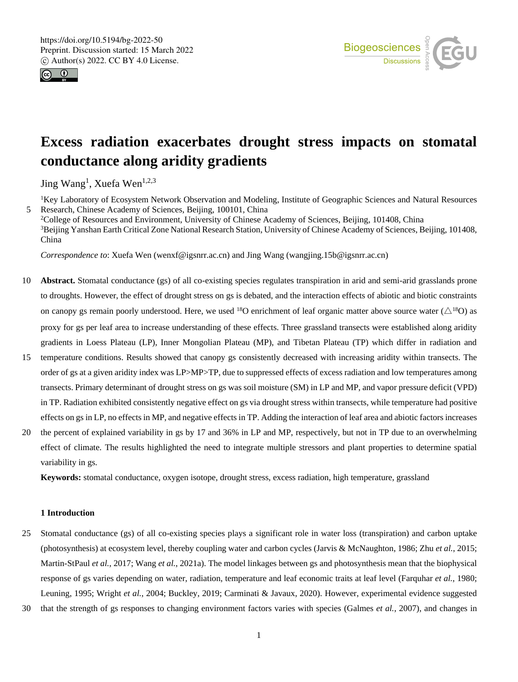



# **Excess radiation exacerbates drought stress impacts on stomatal conductance along aridity gradients**

Jing Wang<sup>1</sup>, Xuefa Wen<sup>1,2,3</sup>

<sup>1</sup>Key Laboratory of Ecosystem Network Observation and Modeling, Institute of Geographic Sciences and Natural Resources 5 Research, Chinese Academy of Sciences, Beijing, 100101, China

<sup>2</sup>College of Resources and Environment, University of Chinese Academy of Sciences, Beijing, 101408, China <sup>3</sup>Beijing Yanshan Earth Critical Zone National Research Station, University of Chinese Academy of Sciences, Beijing, 101408, China

*Correspondence to*: Xuefa Wen (wenxf@igsnrr.ac.cn) and Jing Wang (wangjing.15b@igsnrr.ac.cn)

- 10 **Abstract.** Stomatal conductance (gs) of all co-existing species regulates transpiration in arid and semi-arid grasslands prone to droughts. However, the effect of drought stress on gs is debated, and the interaction effects of abiotic and biotic constraints on canopy gs remain poorly understood. Here, we used <sup>18</sup>O enrichment of leaf organic matter above source water  $(\triangle^{18}O)$  as proxy for gs per leaf area to increase understanding of these effects. Three grassland transects were established along aridity gradients in Loess Plateau (LP), Inner Mongolian Plateau (MP), and Tibetan Plateau (TP) which differ in radiation and
- 15 temperature conditions. Results showed that canopy gs consistently decreased with increasing aridity within transects. The order of gs at a given aridity index was LP>MP>TP, due to suppressed effects of excess radiation and low temperatures among transects. Primary determinant of drought stress on gs was soil moisture (SM) in LP and MP, and vapor pressure deficit (VPD) in TP. Radiation exhibited consistently negative effect on gs via drought stress within transects, while temperature had positive effects on gs in LP, no effects in MP, and negative effects in TP. Adding the interaction of leaf area and abiotic factors increases
- 20 the percent of explained variability in gs by 17 and 36% in LP and MP, respectively, but not in TP due to an overwhelming effect of climate. The results highlighted the need to integrate multiple stressors and plant properties to determine spatial variability in gs.

**Keywords:** stomatal conductance, oxygen isotope, drought stress, excess radiation, high temperature, grassland

# **1 Introduction**

- 25 Stomatal conductance (gs) of all co-existing species plays a significant role in water loss (transpiration) and carbon uptake (photosynthesis) at ecosystem level, thereby coupling water and carbon cycles (Jarvis & McNaughton, 1986; Zhu *et al.*, 2015; Martin-StPaul *et al.*, 2017; Wang *et al.*, 2021a). The model linkages between gs and photosynthesis mean that the biophysical response of gs varies depending on water, radiation, temperature and leaf economic traits at leaf level (Farquhar *et al.*, 1980; Leuning, 1995; Wright *et al.*, 2004; Buckley, 2019; Carminati & Javaux, 2020). However, experimental evidence suggested
- 30 that the strength of gs responses to changing environment factors varies with species (Galmes *et al.*, 2007), and changes in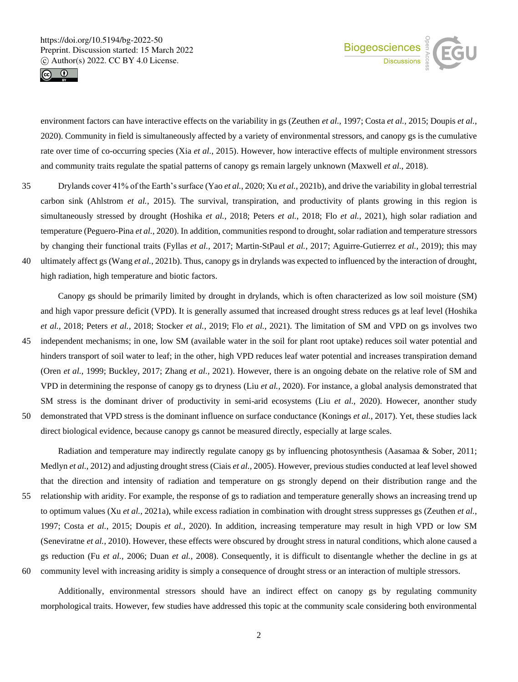



environment factors can have interactive effects on the variability in gs (Zeuthen *et al.*, 1997; Costa *et al.*, 2015; Doupis *et al.*, 2020). Community in field is simultaneously affected by a variety of environmental stressors, and canopy gs is the cumulative rate over time of co-occurring species (Xia *et al.*, 2015). However, how interactive effects of multiple environment stressors and community traits regulate the spatial patterns of canopy gs remain largely unknown (Maxwell *et al.*, 2018).

35 Drylands cover 41% of the Earth's surface (Yao *et al.*, 2020; Xu *et al.*, 2021b), and drive the variability in global terrestrial carbon sink (Ahlstrom *et al.*, 2015). The survival, transpiration, and productivity of plants growing in this region is simultaneously stressed by drought (Hoshika *et al.*, 2018; Peters *et al.*, 2018; Flo *et al.*, 2021), high solar radiation and temperature (Peguero-Pina *et al.*, 2020). In addition, communities respond to drought, solar radiation and temperature stressors by changing their functional traits (Fyllas *et al.*, 2017; Martin-StPaul *et al.*, 2017; Aguirre-Gutierrez *et al.*, 2019); this may 40 ultimately affect gs (Wang *et al.*, 2021b). Thus, canopy gs in drylands was expected to influenced by the interaction of drought,

high radiation, high temperature and biotic factors.

Canopy gs should be primarily limited by drought in drylands, which is often characterized as low soil moisture (SM) and high vapor pressure deficit (VPD). It is generally assumed that increased drought stress reduces gs at leaf level (Hoshika *et al.*, 2018; Peters *et al.*, 2018; Stocker *et al.*, 2019; Flo *et al.*, 2021). The limitation of SM and VPD on gs involves two 45 independent mechanisms; in one, low SM (available water in the soil for plant root uptake) reduces soil water potential and hinders transport of soil water to leaf; in the other, high VPD reduces leaf water potential and increases transpiration demand (Oren *et al.*, 1999; Buckley, 2017; Zhang *et al.*, 2021). However, there is an ongoing debate on the relative role of SM and VPD in determining the response of canopy gs to dryness (Liu *et al.*, 2020). For instance, a global analysis demonstrated that SM stress is the dominant driver of productivity in semi-arid ecosystems (Liu *et al.*, 2020). Howecer, anonther study 50 demonstrated that VPD stress is the dominant influence on surface conductance (Konings *et al.*, 2017). Yet, these studies lack

direct biological evidence, because canopy gs cannot be measured directly, especially at large scales.

Radiation and temperature may indirectly regulate canopy gs by influencing photosynthesis (Aasamaa & Sober, 2011; Medlyn *et al.*, 2012) and adjusting drought stress (Ciais *et al.*, 2005). However, previous studies conducted at leaf level showed that the direction and intensity of radiation and temperature on gs strongly depend on their distribution range and the 55 relationship with aridity. For example, the response of gs to radiation and temperature generally shows an increasing trend up to optimum values (Xu *et al.*, 2021a), while excess radiation in combination with drought stress suppresses gs (Zeuthen *et al.*, 1997; Costa *et al.*, 2015; Doupis *et al.*, 2020). In addition, increasing temperature may result in high VPD or low SM (Seneviratne *et al.*, 2010). However, these effects were obscured by drought stress in natural conditions, which alone caused a gs reduction (Fu *et al.*, 2006; Duan *et al.*, 2008). Consequently, it is difficult to disentangle whether the decline in gs at 60 community level with increasing aridity is simply a consequence of drought stress or an interaction of multiple stressors.

Additionally, environmental stressors should have an indirect effect on canopy gs by regulating community morphological traits. However, few studies have addressed this topic at the community scale considering both environmental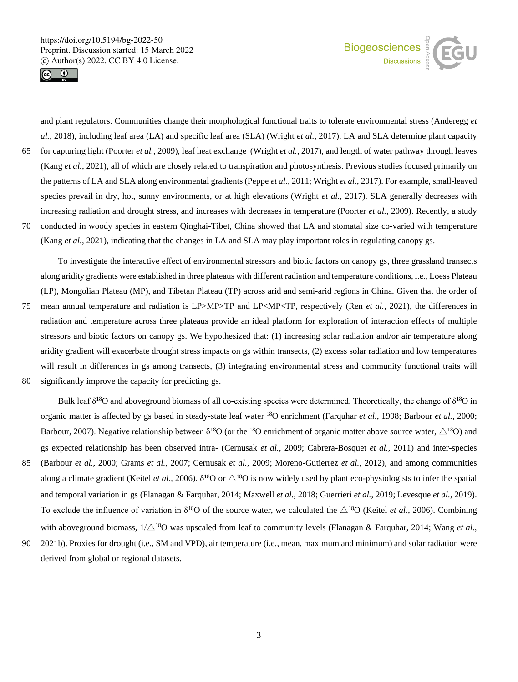



and plant regulators. Communities change their morphological functional traits to tolerate environmental stress (Anderegg *et al.*, 2018), including leaf area (LA) and specific leaf area (SLA) (Wright *et al.*, 2017). LA and SLA determine plant capacity 65 for capturing light (Poorter *et al.*, 2009), leaf heat exchange (Wright *et al.*, 2017), and length of water pathway through leaves (Kang *et al.*, 2021), all of which are closely related to transpiration and photosynthesis. Previous studies focused primarily on the patterns of LA and SLA along environmental gradients (Peppe *et al.*, 2011; Wright *et al.*, 2017). For example, small-leaved species prevail in dry, hot, sunny environments, or at high elevations (Wright *et al.*, 2017). SLA generally decreases with increasing radiation and drought stress, and increases with decreases in temperature (Poorter *et al.*, 2009). Recently, a study 70 conducted in woody species in eastern Qinghai-Tibet, China showed that LA and stomatal size co-varied with temperature (Kang *et al.*, 2021), indicating that the changes in LA and SLA may play important roles in regulating canopy gs.

To investigate the interactive effect of environmental stressors and biotic factors on canopy gs, three grassland transects along aridity gradients were established in three plateaus with different radiation and temperature conditions, i.e., Loess Plateau (LP), Mongolian Plateau (MP), and Tibetan Plateau (TP) across arid and semi-arid regions in China. Given that the order of

- 75 mean annual temperature and radiation is LP>MP>TP and LP<MP<TP, respectively (Ren *et al.*, 2021), the differences in radiation and temperature across three plateaus provide an ideal platform for exploration of interaction effects of multiple stressors and biotic factors on canopy gs. We hypothesized that: (1) increasing solar radiation and/or air temperature along aridity gradient will exacerbate drought stress impacts on gs within transects, (2) excess solar radiation and low temperatures will result in differences in gs among transects, (3) integrating environmental stress and community functional traits will
- 80 significantly improve the capacity for predicting gs.

Bulk leaf  $\delta^{18}O$  and aboveground biomass of all co-existing species were determined. Theoretically, the change of  $\delta^{18}O$  in organic matter is affected by gs based in steady-state leaf water <sup>18</sup>O enrichment (Farquhar *et al.*, 1998; Barbour *et al.*, 2000; Barbour, 2007). Negative relationship between  $\delta^{18}O$  (or the <sup>18</sup>O enrichment of organic matter above source water,  $\triangle^{18}O$ ) and gs expected relationship has been observed intra- (Cernusak *et al.*, 2009; Cabrera-Bosquet *et al.*, 2011) and inter-species 85 (Barbour *et al.*, 2000; Grams *et al.*, 2007; Cernusak *et al.*, 2009; Moreno-Gutierrez *et al.*, 2012), and among communities along a climate gradient (Keitel *et al.*, 2006).  $\delta^{18}O$  or  $\triangle^{18}O$  is now widely used by plant eco-physiologists to infer the spatial

- and temporal variation in gs (Flanagan & Farquhar, 2014; Maxwell *et al.*, 2018; Guerrieri *et al.*, 2019; Levesque *et al.*, 2019). To exclude the influence of variation in  $\delta^{18}O$  of the source water, we calculated the  $\triangle^{18}O$  (Keitel *et al.*, 2006). Combining with aboveground biomass,  $1/\triangle^{18}O$  was upscaled from leaf to community levels (Flanagan & Farquhar, 2014; Wang *et al.*,
- 90 2021b). Proxies for drought (i.e., SM and VPD), air temperature (i.e., mean, maximum and minimum) and solar radiation were derived from global or regional datasets.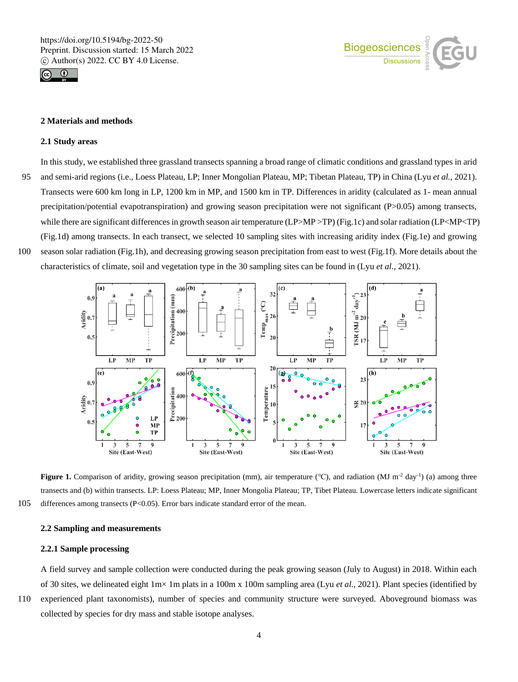



## **2 Materials and methods**

#### **2.1 Study areas**

In this study, we established three grassland transects spanning a broad range of climatic conditions and grassland types in arid 95 and semi-arid regions (i.e., Loess Plateau, LP; Inner Mongolian Plateau, MP; Tibetan Plateau, TP) in China (Lyu *et al.*, 2021). Transects were 600 km long in LP, 1200 km in MP, and 1500 km in TP. Differences in aridity (calculated as 1- mean annual precipitation/potential evapotranspiration) and growing season precipitation were not significant (P>0.05) among transects, while there are significant differences in growth season air temperature (LP>MP >TP) (Fig.1c) and solar radiation (LP<MP<TP) (Fig.1d) among transects. In each transect, we selected 10 sampling sites with increasing aridity index (Fig.1e) and growing 100 season solar radiation (Fig.1h), and decreasing growing season precipitation from east to west (Fig.1f). More details about the

characteristics of climate, soil and vegetation type in the 30 sampling sites can be found in (Lyu *et al.*, 2021).



**Figure 1.** Comparison of aridity, growing season precipitation (mm), air temperature (°C), and radiation (MJ m<sup>-2</sup> day<sup>-1</sup>) (a) among three transects and (b) within transects. LP: Loess Plateau; MP, Inner Mongolia Plateau; TP, Tibet Plateau. Lowercase letters indicate significant 105 differences among transects (P<0.05). Error bars indicate standard error of the mean.

## **2.2 Sampling and measurements**

# **2.2.1 Sample processing**

A field survey and sample collection were conducted during the peak growing season (July to August) in 2018. Within each of 30 sites, we delineated eight 1m× 1m plats in a 100m x 100m sampling area (Lyu *et al.*, 2021). Plant species (identified by

110 experienced plant taxonomists), number of species and community structure were surveyed. Aboveground biomass was collected by species for dry mass and stable isotope analyses.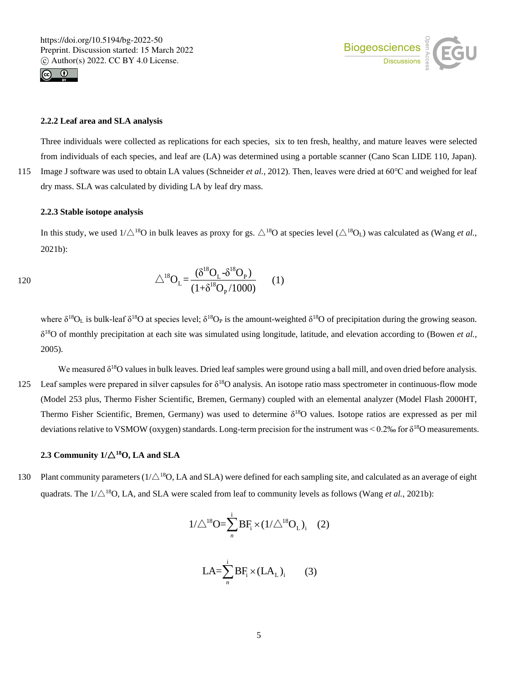



# **2.2.2 Leaf area and SLA analysis**

Three individuals were collected as replications for each species, six to ten fresh, healthy, and mature leaves were selected from individuals of each species, and leaf are (LA) was determined using a portable scanner (Cano Scan LIDE 110, Japan). 115 Image J software was used to obtain LA values (Schneider *et al.*, 2012). Then, leaves were dried at 60℃ and weighed for leaf dry mass. SLA was calculated by dividing LA by leaf dry mass.

## **2.2.3 Stable isotope analysis**

In this study, we used  $1/\triangle^{18}O$  in bulk leaves as proxy for gs.  $\triangle^{18}O$  at species level ( $\triangle^{18}O_L$ ) was calculated as (Wang *et al.*, 2021b):

120 
$$
\triangle^{18}O_{L} = \frac{(\delta^{18}O_{L} - \delta^{18}O_{P})}{(1 + \delta^{18}O_{P}/1000)}
$$
 (1)

where  $\delta^{18}O_L$  is bulk-leaf  $\delta^{18}O$  at species level;  $\delta^{18}O_P$  is the amount-weighted  $\delta^{18}O$  of precipitation during the growing season. δ <sup>18</sup>O of monthly precipitation at each site was simulated using longitude, latitude, and elevation according to (Bowen *et al.*, 2005).

We measured  $\delta^{18}O$  values in bulk leaves. Dried leaf samples were ground using a ball mill, and oven dried before analysis. 125 Leaf samples were prepared in silver capsules for  $\delta^{18}O$  analysis. An isotope ratio mass spectrometer in continuous-flow mode (Model 253 plus, Thermo Fisher Scientific, Bremen, Germany) coupled with an elemental analyzer (Model Flash 2000HT, Thermo Fisher Scientific, Bremen, Germany) was used to determine  $\delta^{18}$ O values. Isotope ratios are expressed as per mil deviations relative to VSMOW (oxygen) standards. Long-term precision for the instrument was  $\leq 0.2\%$  for  $\delta^{18}$ O measurements.

# 2.3 Community  $1/\Delta^{18}$ O, LA and SLA

130 Plant community parameters ( $1/\triangle^{18}$ O, LA and SLA) were defined for each sampling site, and calculated as an average of eight quadrats. The  $1/\triangle^{18}$ O, LA, and SLA were scaled from leaf to community levels as follows (Wang *et al.*, 2021b):

$$
1/\triangle^{18}O = \sum_{n}^{i} BF_{i} \times (1/\triangle^{18}O_{L})_{i} \quad (2)
$$

$$
LA = \sum_{n}^{i} BF_i \times (LA_L)_i \qquad (3)
$$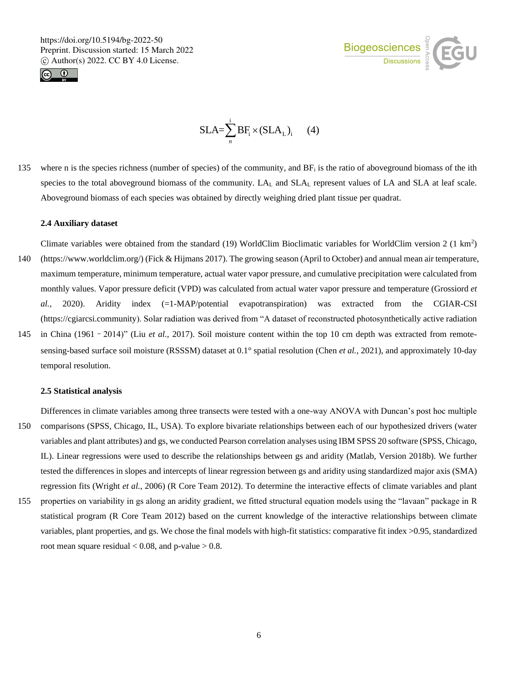



$$
SLA = \sum_{n}^{i} BF_{i} \times (SLA_{L})_{i} \qquad (4)
$$

135 where n is the species richness (number of species) of the community, and  $BF_i$  is the ratio of aboveground biomass of the ith species to the total aboveground biomass of the community. LA<sub>L</sub> and SLA<sub>L</sub> represent values of LA and SLA at leaf scale. Aboveground biomass of each species was obtained by directly weighing dried plant tissue per quadrat.

# **2.4 Auxiliary dataset**

- Climate variables were obtained from the standard (19) WorldClim Bioclimatic variables for WorldClim version  $2(1 \text{ km}^2)$ 140 (https://www.worldclim.org/) (Fick & Hijmans 2017). The growing season (April to October) and annual mean air temperature, maximum temperature, minimum temperature, actual water vapor pressure, and cumulative precipitation were calculated from monthly values. Vapor pressure deficit (VPD) was calculated from actual water vapor pressure and temperature (Grossiord *et al.,* 2020). Aridity index (=1-MAP/potential evapotranspiration) was extracted from the CGIAR-CSI (https://cgiarcsi.community). Solar radiation was derived from "A dataset of reconstructed photosynthetically active radiation
- 145 in China (1961–2014)" (Liu *et al.*, 2017). Soil moisture content within the top 10 cm depth was extracted from remotesensing-based surface soil moisture (RSSSM) dataset at 0.1° spatial resolution (Chen *et al.,* 2021), and approximately 10-day temporal resolution.

#### **2.5 Statistical analysis**

Differences in climate variables among three transects were tested with a one-way ANOVA with Duncan's post hoc multiple

- 150 comparisons (SPSS, Chicago, IL, USA). To explore bivariate relationships between each of our hypothesized drivers (water variables and plant attributes) and gs, we conducted Pearson correlation analyses using IBM SPSS 20 software (SPSS, Chicago, IL). Linear regressions were used to describe the relationships between gs and aridity (Matlab, Version 2018b). We further tested the differences in slopes and intercepts of linear regression between gs and aridity using standardized major axis (SMA) regression fits (Wright *et al.*, 2006) (R Core Team 2012). To determine the interactive effects of climate variables and plant
- 155 properties on variability in gs along an aridity gradient, we fitted structural equation models using the "lavaan" package in R statistical program (R Core Team 2012) based on the current knowledge of the interactive relationships between climate variables, plant properties, and gs. We chose the final models with high-fit statistics: comparative fit index >0.95, standardized root mean square residual  $< 0.08$ , and p-value  $> 0.8$ .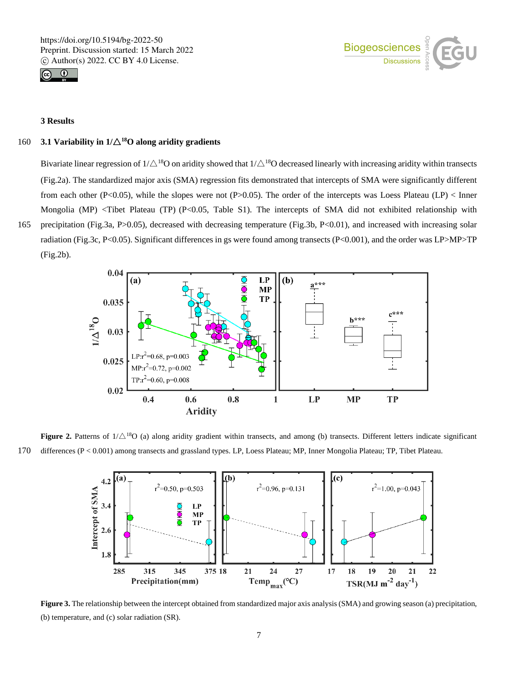



# **3 Results**

# 160 **3.1 Variability in 1/**△**<sup>18</sup>O along aridity gradients**

Bivariate linear regression of  $1/\triangle^{18}O$  on aridity showed that  $1/\triangle^{18}O$  decreased linearly with increasing aridity within transects (Fig.2a). The standardized major axis (SMA) regression fits demonstrated that intercepts of SMA were significantly different from each other (P<0.05), while the slopes were not (P>0.05). The order of the intercepts was Loess Plateau (LP) < Inner Mongolia (MP) <Tibet Plateau (TP) (P<0.05, Table S1). The intercepts of SMA did not exhibited relationship with 165 precipitation (Fig.3a, P>0.05), decreased with decreasing temperature (Fig.3b, P<0.01), and increased with increasing solar radiation (Fig.3c, P<0.05). Significant differences in gs were found among transects (P<0.001), and the order was LP>MP>TP (Fig.2b).



**Figure 2.** Patterns of  $1/\triangle^{18}$ O (a) along aridity gradient within transects, and among (b) transects. Different letters indicate significant 170 differences (P < 0.001) among transects and grassland types. LP, Loess Plateau; MP, Inner Mongolia Plateau; TP, Tibet Plateau.



**Figure 3.** The relationship between the intercept obtained from standardized major axis analysis (SMA) and growing season (a) precipitation, (b) temperature, and (c) solar radiation (SR).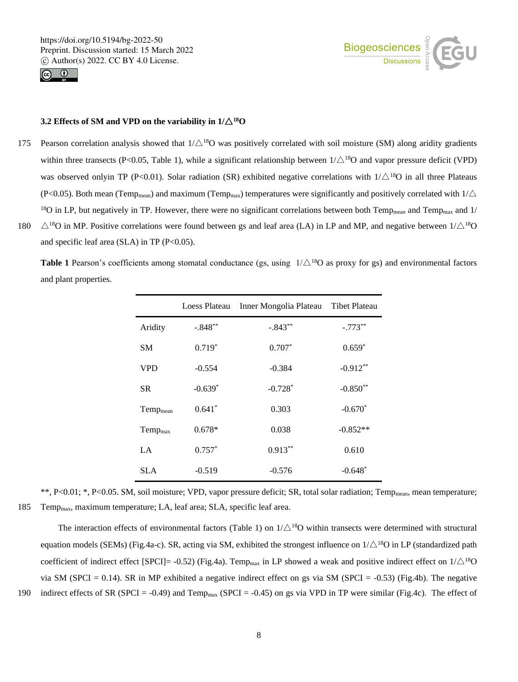



# **3.2 Effects of SM and VPD on the variability in**  $1/\Delta^{18}$ **O**

175 Pearson correlation analysis showed that  $1/\triangle^{18}$ O was positively correlated with soil moisture (SM) along aridity gradients within three transects (P<0.05, Table 1), while a significant relationship between  $1/\triangle^{18}O$  and vapor pressure deficit (VPD) was observed onlyin TP (P<0.01). Solar radiation (SR) exhibited negative correlations with  $1/\triangle^{18}O$  in all three Plateaus (P<0.05). Both mean (Temp<sub>mean</sub>) and maximum (Temp<sub>max</sub>) temperatures were significantly and positively correlated with  $1/\triangle$ <sup>18</sup>O in LP, but negatively in TP. However, there were no significant correlations between both Temp<sub>mean</sub> and Temp<sub>max</sub> and 1/ 180  $\triangle$ <sup>18</sup>O in MP. Positive correlations were found between gs and leaf area (LA) in LP and MP, and negative between  $1/\triangle$ <sup>18</sup>O and specific leaf area (SLA) in TP  $(P<0.05)$ .

**Table 1** Pearson's coefficients among stomatal conductance (gs, using  $1/\triangle^{18}O$  as proxy for gs) and environmental factors and plant properties.

|                      |           | Loess Plateau Inner Mongolia Plateau Tibet Plateau |            |
|----------------------|-----------|----------------------------------------------------|------------|
| Aridity              | $-.848**$ | $-.843**$                                          | $-.773**$  |
| SМ                   | $0.719*$  | $0.707*$                                           | $0.659*$   |
| <b>VPD</b>           | $-0.554$  | $-0.384$                                           | $-0.912**$ |
| SR.                  | $-0.639*$ | $-0.728*$                                          | $-0.850**$ |
| Temp <sub>mean</sub> | $0.641*$  | 0.303                                              | $-0.670*$  |
| Temp <sub>max</sub>  | $0.678*$  | 0.038                                              | $-0.852**$ |
| $L^A$                | $0.757*$  | $0.913***$                                         | 0.610      |
| SLA                  | $-0.519$  | $-0.576$                                           | $-0.648*$  |

\*\*, P<0.01; \*, P<0.05. SM, soil moisture; VPD, vapor pressure deficit; SR, total solar radiation; Temp<sub>mean</sub>, mean temperature; 185 Tempmax, maximum temperature; LA, leaf area; SLA, specific leaf area.

The interaction effects of environmental factors (Table 1) on  $1/\triangle^{18}O$  within transects were determined with structural equation models (SEMs) (Fig.4a-c). SR, acting via SM, exhibited the strongest influence on  $1/\triangle^{18}$ O in LP (standardized path coefficient of indirect effect [SPCI]= -0.52) (Fig.4a). Temp<sub>max</sub> in LP showed a weak and positive indirect effect on  $1/\triangle^{18}O$ via SM (SPCI = 0.14). SR in MP exhibited a negative indirect effect on gs via SM (SPCI =  $-0.53$ ) (Fig.4b). The negative 190 indirect effects of SR (SPCI = -0.49) and Temp<sub>max</sub> (SPCI = -0.45) on gs via VPD in TP were similar (Fig.4c). The effect of

8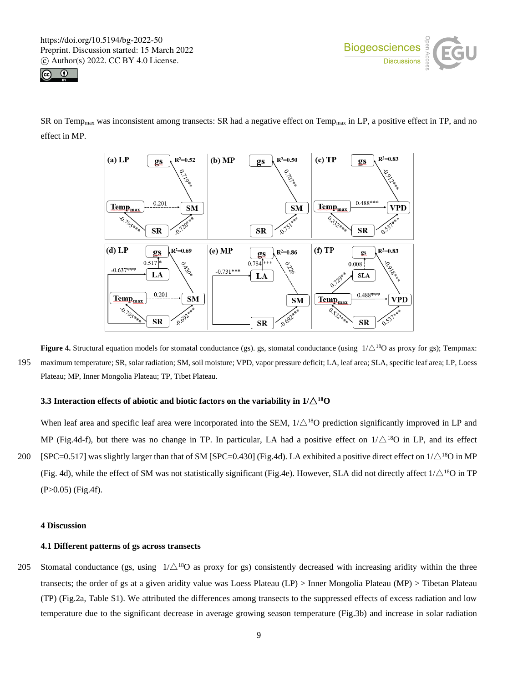



SR on Temp<sub>max</sub> was inconsistent among transects: SR had a negative effect on Temp<sub>max</sub> in LP, a positive effect in TP, and no effect in MP.



**Figure 4.** Structural equation models for stomatal conductance (gs). gs, stomatal conductance (using  $1/\triangle^{18}$ O as proxy for gs); Tempmax: 195 maximum temperature; SR, solar radiation; SM, soil moisture; VPD, vapor pressure deficit; LA, leaf area; SLA, specific leaf area; LP, Loess Plateau; MP, Inner Mongolia Plateau; TP, Tibet Plateau.

# **3.3** Interaction effects of abiotic and biotic factors on the variability in  $1/\Delta^{18}O$

When leaf area and specific leaf area were incorporated into the SEM,  $1/\triangle^{18}$ O prediction significantly improved in LP and MP (Fig.4d-f), but there was no change in TP. In particular, LA had a positive effect on  $1/\triangle^{18}O$  in LP, and its effect 200 [SPC=0.517] was slightly larger than that of SM [SPC=0.430] (Fig.4d). LA exhibited a positive direct effect on  $1/\triangle^{18}$ O in MP (Fig. 4d), while the effect of SM was not statistically significant (Fig.4e). However, SLA did not directly affect  $1/\triangle^{18}O$  in TP (P>0.05) (Fig.4f).

## **4 Discussion**

# **4.1 Different patterns of gs across transects**

205 Stomatal conductance (gs, using  $1/\triangle^{18}O$  as proxy for gs) consistently decreased with increasing aridity within the three transects; the order of gs at a given aridity value was Loess Plateau (LP) > Inner Mongolia Plateau (MP) > Tibetan Plateau (TP) (Fig.2a, Table S1). We attributed the differences among transects to the suppressed effects of excess radiation and low temperature due to the significant decrease in average growing season temperature (Fig.3b) and increase in solar radiation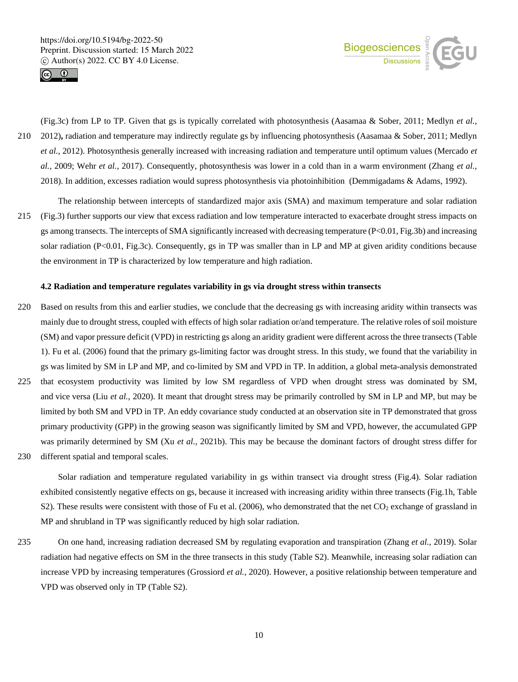



(Fig.3c) from LP to TP. Given that gs is typically correlated with photosynthesis (Aasamaa & Sober, 2011; Medlyn *et al.*, 210 2012)**,** radiation and temperature may indirectly regulate gs by influencing photosynthesis (Aasamaa & Sober, 2011; Medlyn *et al.*, 2012). Photosynthesis generally increased with increasing radiation and temperature until optimum values (Mercado *et al.*, 2009; Wehr *et al.*, 2017). Consequently, photosynthesis was lower in a cold than in a warm environment (Zhang *et al.*, 2018). In addition, excesses radiation would supress photosynthesis via photoinhibition (Demmigadams & Adams, 1992).

The relationship between intercepts of standardized major axis (SMA) and maximum temperature and solar radiation 215 (Fig.3) further supports our view that excess radiation and low temperature interacted to exacerbate drought stress impacts on gs among transects. The intercepts of SMA significantly increased with decreasing temperature (P<0.01, Fig.3b) and increasing solar radiation (P<0.01, Fig.3c). Consequently, gs in TP was smaller than in LP and MP at given aridity conditions because the environment in TP is characterized by low temperature and high radiation.

#### **4.2 Radiation and temperature regulates variability in gs via drought stress within transects**

- 220 Based on results from this and earlier studies, we conclude that the decreasing gs with increasing aridity within transects was mainly due to drought stress, coupled with effects of high solar radiation or/and temperature. The relative roles of soil moisture (SM) and vapor pressure deficit (VPD) in restricting gs along an aridity gradient were different across the three transects (Table 1). Fu et al. (2006) found that the primary gs-limiting factor was drought stress. In this study, we found that the variability in gs was limited by SM in LP and MP, and co-limited by SM and VPD in TP. In addition, a global meta-analysis demonstrated
- 225 that ecosystem productivity was limited by low SM regardless of VPD when drought stress was dominated by SM, and vice versa (Liu *et al.*, 2020). It meant that drought stress may be primarily controlled by SM in LP and MP, but may be limited by both SM and VPD in TP. An eddy covariance study conducted at an observation site in TP demonstrated that gross primary productivity (GPP) in the growing season was significantly limited by SM and VPD, however, the accumulated GPP was primarily determined by SM (Xu *et al.*, 2021b). This may be because the dominant factors of drought stress differ for 230 different spatial and temporal scales.
- 

Solar radiation and temperature regulated variability in gs within transect via drought stress (Fig.4). Solar radiation exhibited consistently negative effects on gs, because it increased with increasing aridity within three transects (Fig.1h, Table S2). These results were consistent with those of Fu et al. (2006), who demonstrated that the net  $CO<sub>2</sub>$  exchange of grassland in MP and shrubland in TP was significantly reduced by high solar radiation.

235 On one hand, increasing radiation decreased SM by regulating evaporation and transpiration (Zhang *et al.*, 2019). Solar radiation had negative effects on SM in the three transects in this study (Table S2). Meanwhile, increasing solar radiation can increase VPD by increasing temperatures (Grossiord *et al.*, 2020). However, a positive relationship between temperature and VPD was observed only in TP (Table S2).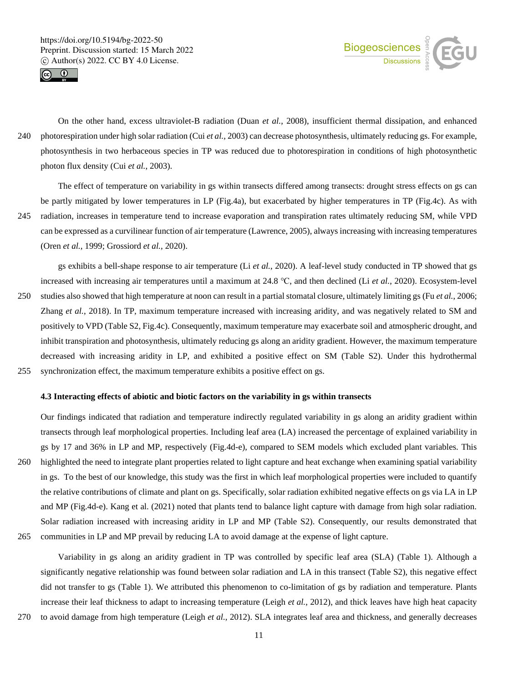



On the other hand, excess ultraviolet-B radiation (Duan *et al.*, 2008), insufficient thermal dissipation, and enhanced 240 photorespiration under high solar radiation (Cui *et al.*, 2003) can decrease photosynthesis, ultimately reducing gs. For example, photosynthesis in two herbaceous species in TP was reduced due to photorespiration in conditions of high photosynthetic photon flux density (Cui *et al.*, 2003).

The effect of temperature on variability in gs within transects differed among transects: drought stress effects on gs can be partly mitigated by lower temperatures in LP (Fig.4a), but exacerbated by higher temperatures in TP (Fig.4c). As with 245 radiation, increases in temperature tend to increase evaporation and transpiration rates ultimately reducing SM, while VPD can be expressed as a curvilinear function of air temperature (Lawrence, 2005), always increasing with increasing temperatures (Oren *et al.*, 1999; Grossiord *et al.*, 2020).

gs exhibits a bell-shape response to air temperature (Li *et al.*, 2020). A leaf-level study conducted in TP showed that gs increased with increasing air temperatures until a maximum at 24.8 ℃, and then declined (Li *et al.*, 2020). Ecosystem-level

- 250 studies also showed that high temperature at noon can result in a partial stomatal closure, ultimately limiting gs (Fu *et al.*, 2006; Zhang *et al.*, 2018). In TP, maximum temperature increased with increasing aridity, and was negatively related to SM and positively to VPD (Table S2, Fig.4c). Consequently, maximum temperature may exacerbate soil and atmospheric drought, and inhibit transpiration and photosynthesis, ultimately reducing gs along an aridity gradient. However, the maximum temperature decreased with increasing aridity in LP, and exhibited a positive effect on SM (Table S2). Under this hydrothermal 255 synchronization effect, the maximum temperature exhibits a positive effect on gs.
	-

# **4.3 Interacting effects of abiotic and biotic factors on the variability in gs within transects**

Our findings indicated that radiation and temperature indirectly regulated variability in gs along an aridity gradient within transects through leaf morphological properties. Including leaf area (LA) increased the percentage of explained variability in gs by 17 and 36% in LP and MP, respectively (Fig.4d-e), compared to SEM models which excluded plant variables. This 260 highlighted the need to integrate plant properties related to light capture and heat exchange when examining spatial variability in gs. To the best of our knowledge, this study was the first in which leaf morphological properties were included to quantify the relative contributions of climate and plant on gs. Specifically, solar radiation exhibited negative effects on gs via LA in LP and MP (Fig.4d-e). Kang et al. (2021) noted that plants tend to balance light capture with damage from high solar radiation. Solar radiation increased with increasing aridity in LP and MP (Table S2). Consequently, our results demonstrated that 265 communities in LP and MP prevail by reducing LA to avoid damage at the expense of light capture.

Variability in gs along an aridity gradient in TP was controlled by specific leaf area (SLA) (Table 1). Although a significantly negative relationship was found between solar radiation and LA in this transect (Table S2), this negative effect did not transfer to gs (Table 1). We attributed this phenomenon to co-limitation of gs by radiation and temperature. Plants increase their leaf thickness to adapt to increasing temperature (Leigh *et al.*, 2012), and thick leaves have high heat capacity 270 to avoid damage from high temperature (Leigh *et al.*, 2012). SLA integrates leaf area and thickness, and generally decreases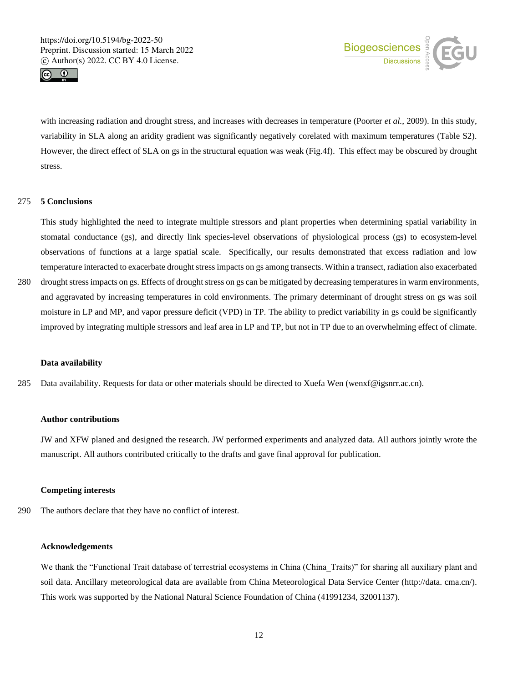



with increasing radiation and drought stress, and increases with decreases in temperature (Poorter *et al.*, 2009). In this study, variability in SLA along an aridity gradient was significantly negatively corelated with maximum temperatures (Table S2). However, the direct effect of SLA on gs in the structural equation was weak (Fig.4f). This effect may be obscured by drought stress.

## 275 **5 Conclusions**

This study highlighted the need to integrate multiple stressors and plant properties when determining spatial variability in stomatal conductance (gs), and directly link species-level observations of physiological process (gs) to ecosystem-level observations of functions at a large spatial scale. Specifically, our results demonstrated that excess radiation and low temperature interacted to exacerbate drought stress impacts on gs among transects. Within a transect, radiation also exacerbated

280 drought stress impacts on gs. Effects of drought stress on gs can be mitigated by decreasing temperaturesin warm environments, and aggravated by increasing temperatures in cold environments. The primary determinant of drought stress on gs was soil moisture in LP and MP, and vapor pressure deficit (VPD) in TP. The ability to predict variability in gs could be significantly improved by integrating multiple stressors and leaf area in LP and TP, but not in TP due to an overwhelming effect of climate.

#### **Data availability**

285 Data availability. Requests for data or other materials should be directed to Xuefa Wen (wenxf@igsnrr.ac.cn).

## **Author contributions**

JW and XFW planed and designed the research. JW performed experiments and analyzed data. All authors jointly wrote the manuscript. All authors contributed critically to the drafts and gave final approval for publication.

## **Competing interests**

290 The authors declare that they have no conflict of interest.

# **Acknowledgements**

We thank the "Functional Trait database of terrestrial ecosystems in China (China\_Traits)" for sharing all auxiliary plant and soil data. Ancillary meteorological data are available from China Meteorological Data Service Center (http://data. cma.cn/). This work was supported by the National Natural Science Foundation of China (41991234, 32001137).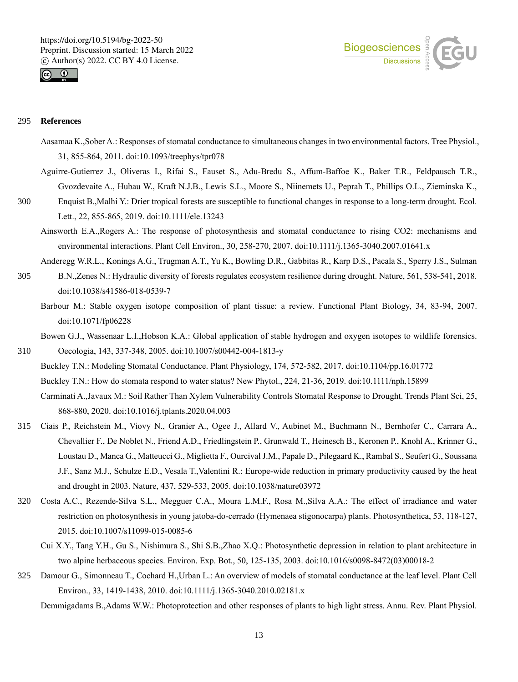



## 295 **References**

- Aasamaa K.,Sober A.: Responses of stomatal conductance to simultaneous changes in two environmental factors. Tree Physiol., 31, 855-864, 2011. doi:10.1093/treephys/tpr078
- Aguirre-Gutierrez J., Oliveras I., Rifai S., Fauset S., Adu-Bredu S., Affum-Baffoe K., Baker T.R., Feldpausch T.R., Gvozdevaite A., Hubau W., Kraft N.J.B., Lewis S.L., Moore S., Niinemets U., Peprah T., Phillips O.L., Zieminska K.,
- 300 Enquist B.,Malhi Y.: Drier tropical forests are susceptible to functional changes in response to a long-term drought. Ecol. Lett., 22, 855-865, 2019. doi:10.1111/ele.13243
	- Ainsworth E.A.,Rogers A.: The response of photosynthesis and stomatal conductance to rising CO2: mechanisms and environmental interactions. Plant Cell Environ., 30, 258-270, 2007. doi:10.1111/j.1365-3040.2007.01641.x
- Anderegg W.R.L., Konings A.G., Trugman A.T., Yu K., Bowling D.R., Gabbitas R., Karp D.S., Pacala S., Sperry J.S., Sulman 305 B.N.,Zenes N.: Hydraulic diversity of forests regulates ecosystem resilience during drought. Nature, 561, 538-541, 2018. doi:10.1038/s41586-018-0539-7
	- Barbour M.: Stable oxygen isotope composition of plant tissue: a review. Functional Plant Biology, 34, 83-94, 2007. doi:10.1071/fp06228

Bowen G.J., Wassenaar L.I.,Hobson K.A.: Global application of stable hydrogen and oxygen isotopes to wildlife forensics. 310 Oecologia, 143, 337-348, 2005. doi:10.1007/s00442-004-1813-y

- Buckley T.N.: Modeling Stomatal Conductance. Plant Physiology, 174, 572-582, 2017. doi:10.1104/pp.16.01772 Buckley T.N.: How do stomata respond to water status? New Phytol., 224, 21-36, 2019. doi:10.1111/nph.15899 Carminati A.,Javaux M.: Soil Rather Than Xylem Vulnerability Controls Stomatal Response to Drought. Trends Plant Sci, 25, 868-880, 2020. doi:10.1016/j.tplants.2020.04.003
- 315 Ciais P., Reichstein M., Viovy N., Granier A., Ogee J., Allard V., Aubinet M., Buchmann N., Bernhofer C., Carrara A., Chevallier F., De Noblet N., Friend A.D., Friedlingstein P., Grunwald T., Heinesch B., Keronen P., Knohl A., Krinner G., Loustau D., Manca G., Matteucci G., Miglietta F., Ourcival J.M., Papale D., Pilegaard K., Rambal S., Seufert G., Soussana J.F., Sanz M.J., Schulze E.D., Vesala T.,Valentini R.: Europe-wide reduction in primary productivity caused by the heat and drought in 2003. Nature, 437, 529-533, 2005. doi:10.1038/nature03972
- 320 Costa A.C., Rezende-Silva S.L., Megguer C.A., Moura L.M.F., Rosa M.,Silva A.A.: The effect of irradiance and water restriction on photosynthesis in young jatoba-do-cerrado (Hymenaea stigonocarpa) plants. Photosynthetica, 53, 118-127, 2015. doi:10.1007/s11099-015-0085-6
	- Cui X.Y., Tang Y.H., Gu S., Nishimura S., Shi S.B.,Zhao X.Q.: Photosynthetic depression in relation to plant architecture in two alpine herbaceous species. Environ. Exp. Bot., 50, 125-135, 2003. doi:10.1016/s0098-8472(03)00018-2
- 325 Damour G., Simonneau T., Cochard H.,Urban L.: An overview of models of stomatal conductance at the leaf level. Plant Cell Environ., 33, 1419-1438, 2010. doi:10.1111/j.1365-3040.2010.02181.x

Demmigadams B.,Adams W.W.: Photoprotection and other responses of plants to high light stress. Annu. Rev. Plant Physiol.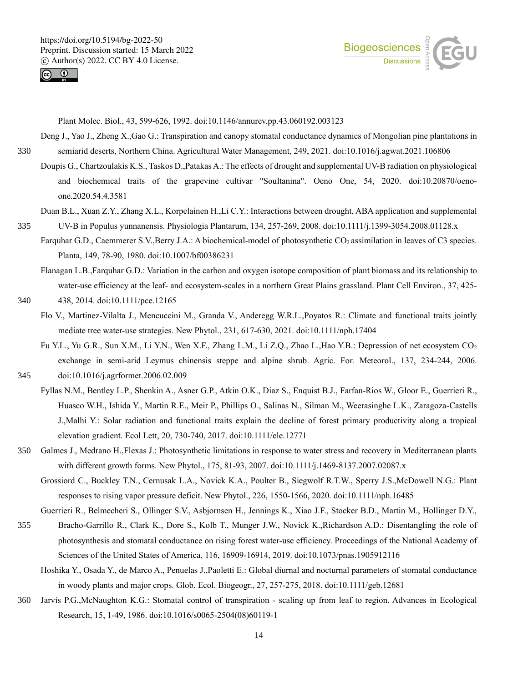



Plant Molec. Biol., 43, 599-626, 1992. doi:10.1146/annurev.pp.43.060192.003123

- Deng J., Yao J., Zheng X.,Gao G.: Transpiration and canopy stomatal conductance dynamics of Mongolian pine plantations in 330 semiarid deserts, Northern China. Agricultural Water Management, 249, 2021. doi:10.1016/j.agwat.2021.106806
	- Doupis G., Chartzoulakis K.S., Taskos D.,Patakas A.: The effects of drought and supplemental UV-B radiation on physiological and biochemical traits of the grapevine cultivar "Soultanina". Oeno One, 54, 2020. doi:10.20870/oenoone.2020.54.4.3581
- Duan B.L., Xuan Z.Y., Zhang X.L., Korpelainen H.,Li C.Y.: Interactions between drought, ABA application and supplemental 335 UV-B in Populus yunnanensis. Physiologia Plantarum, 134, 257-269, 2008. doi:10.1111/j.1399-3054.2008.01128.x
	- Farquhar G.D., Caemmerer S.V.,Berry J.A.: A biochemical-model of photosynthetic CO<sub>2</sub> assimilation in leaves of C3 species. Planta, 149, 78-90, 1980. doi:10.1007/bf00386231
		- Flanagan L.B.,Farquhar G.D.: Variation in the carbon and oxygen isotope composition of plant biomass and its relationship to water-use efficiency at the leaf- and ecosystem-scales in a northern Great Plains grassland. Plant Cell Environ., 37, 425-
- 340 438, 2014. doi:10.1111/pce.12165
	- Flo V., Martinez-Vilalta J., Mencuccini M., Granda V., Anderegg W.R.L.,Poyatos R.: Climate and functional traits jointly mediate tree water-use strategies. New Phytol., 231, 617-630, 2021. doi:10.1111/nph.17404
- Fu Y.L., Yu G.R., Sun X.M., Li Y.N., Wen X.F., Zhang L.M., Li Z.Q., Zhao L.,Hao Y.B.: Depression of net ecosystem CO<sup>2</sup> exchange in semi-arid Leymus chinensis steppe and alpine shrub. Agric. For. Meteorol., 137, 234-244, 2006. 345 doi:10.1016/j.agrformet.2006.02.009

- Fyllas N.M., Bentley L.P., Shenkin A., Asner G.P., Atkin O.K., Diaz S., Enquist B.J., Farfan-Rios W., Gloor E., Guerrieri R., Huasco W.H., Ishida Y., Martin R.E., Meir P., Phillips O., Salinas N., Silman M., Weerasinghe L.K., Zaragoza-Castells J.,Malhi Y.: Solar radiation and functional traits explain the decline of forest primary productivity along a tropical elevation gradient. Ecol Lett, 20, 730-740, 2017. doi:10.1111/ele.12771
- 350 Galmes J., Medrano H.,Flexas J.: Photosynthetic limitations in response to water stress and recovery in Mediterranean plants with different growth forms. New Phytol., 175, 81-93, 2007. doi:10.1111/j.1469-8137.2007.02087.x
	- Grossiord C., Buckley T.N., Cernusak L.A., Novick K.A., Poulter B., Siegwolf R.T.W., Sperry J.S.,McDowell N.G.: Plant responses to rising vapor pressure deficit. New Phytol., 226, 1550-1566, 2020. doi:10.1111/nph.16485
- Guerrieri R., Belmecheri S., Ollinger S.V., Asbjornsen H., Jennings K., Xiao J.F., Stocker B.D., Martin M., Hollinger D.Y., 355 Bracho-Garrillo R., Clark K., Dore S., Kolb T., Munger J.W., Novick K.,Richardson A.D.: Disentangling the role of
	- photosynthesis and stomatal conductance on rising forest water-use efficiency. Proceedings of the National Academy of Sciences of the United States of America, 116, 16909-16914, 2019. doi:10.1073/pnas.1905912116
		- Hoshika Y., Osada Y., de Marco A., Penuelas J.,Paoletti E.: Global diurnal and nocturnal parameters of stomatal conductance in woody plants and major crops. Glob. Ecol. Biogeogr., 27, 257-275, 2018. doi:10.1111/geb.12681
- 360 Jarvis P.G.,McNaughton K.G.: Stomatal control of transpiration scaling up from leaf to region. Advances in Ecological Research, 15, 1-49, 1986. doi:10.1016/s0065-2504(08)60119-1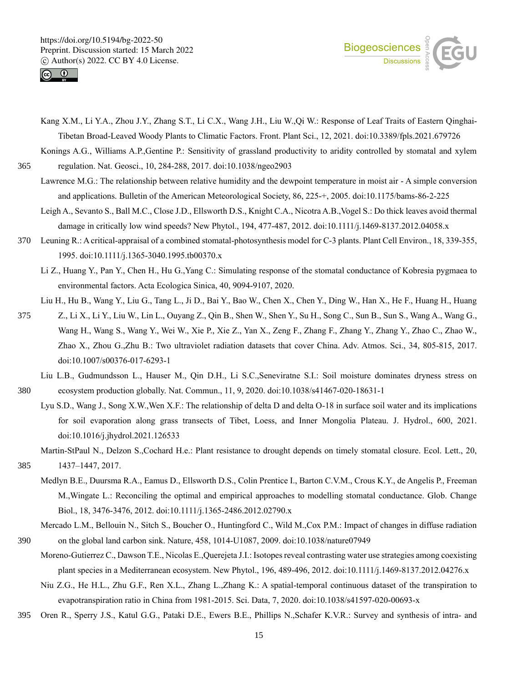



- Kang X.M., Li Y.A., Zhou J.Y., Zhang S.T., Li C.X., Wang J.H., Liu W.,Qi W.: Response of Leaf Traits of Eastern Qinghai-Tibetan Broad-Leaved Woody Plants to Climatic Factors. Front. Plant Sci., 12, 2021. doi:10.3389/fpls.2021.679726
- Konings A.G., Williams A.P.,Gentine P.: Sensitivity of grassland productivity to aridity controlled by stomatal and xylem 365 regulation. Nat. Geosci., 10, 284-288, 2017. doi:10.1038/ngeo2903
	- Lawrence M.G.: The relationship between relative humidity and the dewpoint temperature in moist air A simple conversion and applications. Bulletin of the American Meteorological Society, 86, 225-+, 2005. doi:10.1175/bams-86-2-225
		- Leigh A., Sevanto S., Ball M.C., Close J.D., Ellsworth D.S., Knight C.A., Nicotra A.B.,Vogel S.: Do thick leaves avoid thermal damage in critically low wind speeds? New Phytol., 194, 477-487, 2012. doi:10.1111/j.1469-8137.2012.04058.x
- 370 Leuning R.: A critical-appraisal of a combined stomatal-photosynthesis model for C-3 plants. Plant Cell Environ., 18, 339-355, 1995. doi:10.1111/j.1365-3040.1995.tb00370.x
	- Li Z., Huang Y., Pan Y., Chen H., Hu G.,Yang C.: Simulating response of the stomatal conductance of Kobresia pygmaea to environmental factors. Acta Ecologica Sinica, 40, 9094-9107, 2020.
	- Liu H., Hu B., Wang Y., Liu G., Tang L., Ji D., Bai Y., Bao W., Chen X., Chen Y., Ding W., Han X., He F., Huang H., Huang
- 375 Z., Li X., Li Y., Liu W., Lin L., Ouyang Z., Qin B., Shen W., Shen Y., Su H., Song C., Sun B., Sun S., Wang A., Wang G., Wang H., Wang S., Wang Y., Wei W., Xie P., Xie Z., Yan X., Zeng F., Zhang F., Zhang Y., Zhang Y., Zhao C., Zhao W., Zhao X., Zhou G.,Zhu B.: Two ultraviolet radiation datasets that cover China. Adv. Atmos. Sci., 34, 805-815, 2017. doi:10.1007/s00376-017-6293-1
- Liu L.B., Gudmundsson L., Hauser M., Qin D.H., Li S.C.,Seneviratne S.I.: Soil moisture dominates dryness stress on 380 ecosystem production globally. Nat. Commun., 11, 9, 2020. doi:10.1038/s41467-020-18631-1
	- Lyu S.D., Wang J., Song X.W.,Wen X.F.: The relationship of delta D and delta O-18 in surface soil water and its implications for soil evaporation along grass transects of Tibet, Loess, and Inner Mongolia Plateau. J. Hydrol., 600, 2021. doi:10.1016/j.jhydrol.2021.126533
		- Martin-StPaul N., Delzon S.,Cochard H.e.: Plant resistance to drought depends on timely stomatal closure. Ecol. Lett., 20,
- 385 1437–1447, 2017.
	- Medlyn B.E., Duursma R.A., Eamus D., Ellsworth D.S., Colin Prentice I., Barton C.V.M., Crous K.Y., de Angelis P., Freeman M.,Wingate L.: Reconciling the optimal and empirical approaches to modelling stomatal conductance. Glob. Change Biol., 18, 3476-3476, 2012. doi:10.1111/j.1365-2486.2012.02790.x
- Mercado L.M., Bellouin N., Sitch S., Boucher O., Huntingford C., Wild M.,Cox P.M.: Impact of changes in diffuse radiation 390 on the global land carbon sink. Nature, 458, 1014-U1087, 2009. doi:10.1038/nature07949
	- Moreno-Gutierrez C., Dawson T.E., Nicolas E.,Querejeta J.I.: Isotopes reveal contrasting water use strategies among coexisting plant species in a Mediterranean ecosystem. New Phytol., 196, 489-496, 2012. doi:10.1111/j.1469-8137.2012.04276.x
		- Niu Z.G., He H.L., Zhu G.F., Ren X.L., Zhang L.,Zhang K.: A spatial-temporal continuous dataset of the transpiration to evapotranspiration ratio in China from 1981-2015. Sci. Data, 7, 2020. doi:10.1038/s41597-020-00693-x
- 395 Oren R., Sperry J.S., Katul G.G., Pataki D.E., Ewers B.E., Phillips N.,Schafer K.V.R.: Survey and synthesis of intra- and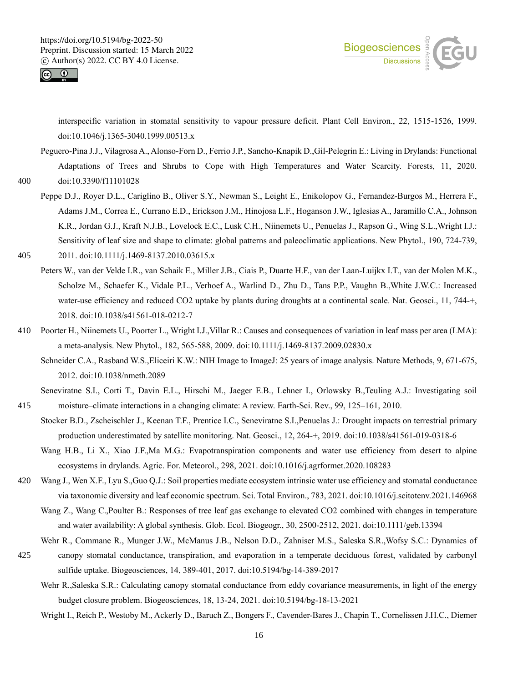



interspecific variation in stomatal sensitivity to vapour pressure deficit. Plant Cell Environ., 22, 1515-1526, 1999. doi:10.1046/j.1365-3040.1999.00513.x

- Peguero-Pina J.J., Vilagrosa A., Alonso-Forn D., Ferrio J.P., Sancho-Knapik D.,Gil-Pelegrin E.: Living in Drylands: Functional Adaptations of Trees and Shrubs to Cope with High Temperatures and Water Scarcity. Forests, 11, 2020. 400 doi:10.3390/f11101028
	- Peppe D.J., Royer D.L., Cariglino B., Oliver S.Y., Newman S., Leight E., Enikolopov G., Fernandez-Burgos M., Herrera F., Adams J.M., Correa E., Currano E.D., Erickson J.M., Hinojosa L.F., Hoganson J.W., Iglesias A., Jaramillo C.A., Johnson K.R., Jordan G.J., Kraft N.J.B., Lovelock E.C., Lusk C.H., Niinemets U., Penuelas J., Rapson G., Wing S.L.,Wright I.J.: Sensitivity of leaf size and shape to climate: global patterns and paleoclimatic applications. New Phytol., 190, 724-739,
- 405 2011. doi:10.1111/j.1469-8137.2010.03615.x
	- Peters W., van der Velde I.R., van Schaik E., Miller J.B., Ciais P., Duarte H.F., van der Laan-Luijkx I.T., van der Molen M.K., Scholze M., Schaefer K., Vidale P.L., Verhoef A., Warlind D., Zhu D., Tans P.P., Vaughn B.,White J.W.C.: Increased water-use efficiency and reduced CO2 uptake by plants during droughts at a continental scale. Nat. Geosci., 11, 744-+, 2018. doi:10.1038/s41561-018-0212-7
- 410 Poorter H., Niinemets U., Poorter L., Wright I.J.,Villar R.: Causes and consequences of variation in leaf mass per area (LMA): a meta-analysis. New Phytol., 182, 565-588, 2009. doi:10.1111/j.1469-8137.2009.02830.x
	- Schneider C.A., Rasband W.S., Eliceiri K.W.: NIH Image to ImageJ: 25 years of image analysis. Nature Methods, 9, 671-675, 2012. doi:10.1038/nmeth.2089
- Seneviratne S.I., Corti T., Davin E.L., Hirschi M., Jaeger E.B., Lehner I., Orlowsky B.,Teuling A.J.: Investigating soil 415 moisture–climate interactions in a changing climate: A review. Earth-Sci. Rev., 99, 125–161, 2010.
	- Stocker B.D., Zscheischler J., Keenan T.F., Prentice I.C., Seneviratne S.I.,Penuelas J.: Drought impacts on terrestrial primary production underestimated by satellite monitoring. Nat. Geosci., 12, 264-+, 2019. doi:10.1038/s41561-019-0318-6
	- Wang H.B., Li X., Xiao J.F.,Ma M.G.: Evapotranspiration components and water use efficiency from desert to alpine ecosystems in drylands. Agric. For. Meteorol., 298, 2021. doi:10.1016/j.agrformet.2020.108283
- 420 Wang J., Wen X.F., Lyu S.,Guo Q.J.: Soil properties mediate ecosystem intrinsic water use efficiency and stomatal conductance via taxonomic diversity and leaf economic spectrum. Sci. Total Environ., 783, 2021. doi:10.1016/j.scitotenv.2021.146968
	- Wang Z., Wang C.,Poulter B.: Responses of tree leaf gas exchange to elevated CO2 combined with changes in temperature and water availability: A global synthesis. Glob. Ecol. Biogeogr., 30, 2500-2512, 2021. doi:10.1111/geb.13394
	- Wehr R., Commane R., Munger J.W., McManus J.B., Nelson D.D., Zahniser M.S., Saleska S.R.,Wofsy S.C.: Dynamics of
- 425 canopy stomatal conductance, transpiration, and evaporation in a temperate deciduous forest, validated by carbonyl sulfide uptake. Biogeosciences, 14, 389-401, 2017. doi:10.5194/bg-14-389-2017
	- Wehr R.,Saleska S.R.: Calculating canopy stomatal conductance from eddy covariance measurements, in light of the energy budget closure problem. Biogeosciences, 18, 13-24, 2021. doi:10.5194/bg-18-13-2021
	- Wright I., Reich P., Westoby M., Ackerly D., Baruch Z., Bongers F., Cavender-Bares J., Chapin T., Cornelissen J.H.C., Diemer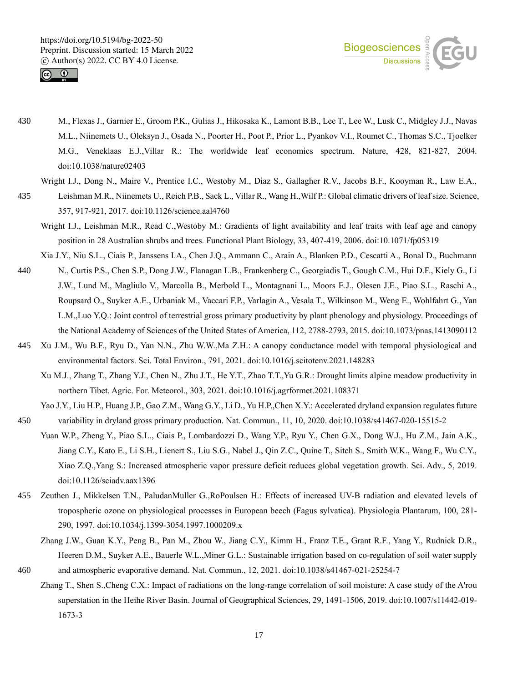



- 430 M., Flexas J., Garnier E., Groom P.K., Gulias J., Hikosaka K., Lamont B.B., Lee T., Lee W., Lusk C., Midgley J.J., Navas M.L., Niinemets U., Oleksyn J., Osada N., Poorter H., Poot P., Prior L., Pyankov V.I., Roumet C., Thomas S.C., Tjoelker M.G., Veneklaas E.J.,Villar R.: The worldwide leaf economics spectrum. Nature, 428, 821-827, 2004. doi:10.1038/nature02403
	- Wright I.J., Dong N., Maire V., Prentice I.C., Westoby M., Diaz S., Gallagher R.V., Jacobs B.F., Kooyman R., Law E.A.,
- 435 Leishman M.R., Niinemets U., Reich P.B., Sack L., Villar R., Wang H.,Wilf P.: Global climatic drivers of leaf size. Science, 357, 917-921, 2017. doi:10.1126/science.aal4760
	- Wright I.J., Leishman M.R., Read C.,Westoby M.: Gradients of light availability and leaf traits with leaf age and canopy position in 28 Australian shrubs and trees. Functional Plant Biology, 33, 407-419, 2006. doi:10.1071/fp05319
	- Xia J.Y., Niu S.L., Ciais P., Janssens I.A., Chen J.Q., Ammann C., Arain A., Blanken P.D., Cescatti A., Bonal D., Buchmann
- 440 N., Curtis P.S., Chen S.P., Dong J.W., Flanagan L.B., Frankenberg C., Georgiadis T., Gough C.M., Hui D.F., Kiely G., Li J.W., Lund M., Magliulo V., Marcolla B., Merbold L., Montagnani L., Moors E.J., Olesen J.E., Piao S.L., Raschi A., Roupsard O., Suyker A.E., Urbaniak M., Vaccari F.P., Varlagin A., Vesala T., Wilkinson M., Weng E., Wohlfahrt G., Yan L.M.,Luo Y.Q.: Joint control of terrestrial gross primary productivity by plant phenology and physiology. Proceedings of the National Academy of Sciences of the United States of America, 112, 2788-2793, 2015. doi:10.1073/pnas.1413090112
- 445 Xu J.M., Wu B.F., Ryu D., Yan N.N., Zhu W.W.,Ma Z.H.: A canopy conductance model with temporal physiological and environmental factors. Sci. Total Environ., 791, 2021. doi:10.1016/j.scitotenv.2021.148283
	- Xu M.J., Zhang T., Zhang Y.J., Chen N., Zhu J.T., He Y.T., Zhao T.T.,Yu G.R.: Drought limits alpine meadow productivity in northern Tibet. Agric. For. Meteorol., 303, 2021. doi:10.1016/j.agrformet.2021.108371
- Yao J.Y., Liu H.P., Huang J.P., Gao Z.M., Wang G.Y., Li D., Yu H.P.,Chen X.Y.: Accelerated dryland expansion regulates future 450 variability in dryland gross primary production. Nat. Commun., 11, 10, 2020. doi:10.1038/s41467-020-15515-2
	- Yuan W.P., Zheng Y., Piao S.L., Ciais P., Lombardozzi D., Wang Y.P., Ryu Y., Chen G.X., Dong W.J., Hu Z.M., Jain A.K., Jiang C.Y., Kato E., Li S.H., Lienert S., Liu S.G., Nabel J., Qin Z.C., Quine T., Sitch S., Smith W.K., Wang F., Wu C.Y., Xiao Z.Q.,Yang S.: Increased atmospheric vapor pressure deficit reduces global vegetation growth. Sci. Adv., 5, 2019. doi:10.1126/sciadv.aax1396
- 455 Zeuthen J., Mikkelsen T.N., PaludanMuller G.,RoPoulsen H.: Effects of increased UV-B radiation and elevated levels of tropospheric ozone on physiological processes in European beech (Fagus sylvatica). Physiologia Plantarum, 100, 281- 290, 1997. doi:10.1034/j.1399-3054.1997.1000209.x
- Zhang J.W., Guan K.Y., Peng B., Pan M., Zhou W., Jiang C.Y., Kimm H., Franz T.E., Grant R.F., Yang Y., Rudnick D.R., Heeren D.M., Suyker A.E., Bauerle W.L.,Miner G.L.: Sustainable irrigation based on co-regulation of soil water supply 460 and atmospheric evaporative demand. Nat. Commun., 12, 2021. doi:10.1038/s41467-021-25254-7
	- Zhang T., Shen S.,Cheng C.X.: Impact of radiations on the long-range correlation of soil moisture: A case study of the A'rou superstation in the Heihe River Basin. Journal of Geographical Sciences, 29, 1491-1506, 2019. doi:10.1007/s11442-019- 1673-3